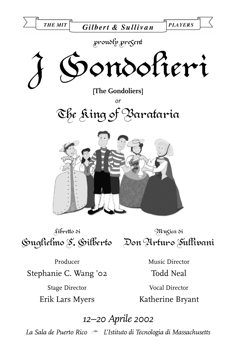

Libretto di Guglielmo S. Gilberto Don Arturo Sullivani

Musica di

Producer Stephanie C. Wang '02 Stage Director

Erik Lars Myers

Music Director Todd Neal

Vocal Director Katherine Bryant

*12–20 Aprile 2002*

*La Sala de Puerto Rico* - *L'Istituto di Tecnologia di Massachusetts*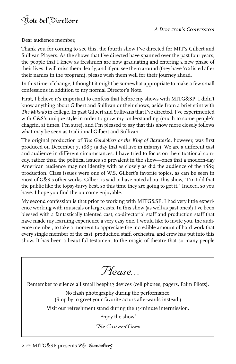Dear audience member,

Thank you for coming to see this, the fourth show I've directed for MIT's Gilbert and Sullivan Players. As the shows that I've directed have spanned over the past four years, the people that I knew as freshmen are now graduating and entering a new phase of their lives. I will miss them dearly, and if you see them around (they have '02 listed after their names in the program), please wish them well for their journey ahead.

In this time of change, I thought it might be somewhat appropriate to make a few small confessions in addition to my normal Director's Note.

First, I believe it's important to confess that before my shows with MITG&SP, I didn't know anything about Gilbert and Sullivan or their shows, aside from a brief stint with *The Mikado* in college. In past Gilbert and Sullivans that I've directed, I've experimented with G&S's unique style in order to grow my understanding (much to some people's chagrin, at times, I'm sure), and I'm pleased to say that this show more closely follows what may be seen as traditional Gilbert and Sullivan.

The original production of *The Gondoliers or the King of Barataria,* however, was first produced on December 7, 1889 (a day that will live in infamy). We are a different cast and audience in different circumstances. I have tried to focus on the situational comedy, rather than the political issues so prevalent in the show—ones that a modern-day American audience may not identify with as closely as did the audience of the 1889 production. Class issues were one of W.S. Gilbert's favorite topics, as can be seen in most of G&S's other works. Gilbert is said to have noted about this show, "I'm told that the public like the topsy-turvy best, so this time they are going to get it." Indeed, so you have. I hope you find the outcome enjoyable.

My second confession is that prior to working with MITG&SP, I had very little experience working with musicals or large casts. In this show (as well as past ones!) I've been blessed with a fantastically talented cast, co-directorial staff and production staff that have made my learning experience a very easy one. I would like to invite you, the audience member, to take a moment to appreciate the incredible amount of hard work that every single member of the cast, production staff, orchestra, and crew has put into this show. It has been a beautiful testament to the magic of theatre that so many people

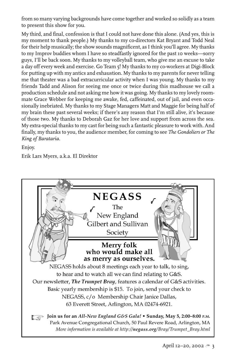from so many varying backgrounds have come together and worked so solidly as a team to present this show for you.

My third, and final, confession is that I could not have done this alone. (And yes, this is my moment to thank people.) My thanks to my co-directors Kat Bryant and Todd Neal for their help musically; the show sounds magnificent, as I think you'll agree. My thanks to my Improv buddies whom I have so steadfastly ignored for the past 10 weeks—sorry guys, I'll be back soon. My thanks to my volleyball team, who give me an excuse to take a day off every week and exercise. Go Team 5! My thanks to my co-workers at Digi-Block for putting up with my antics and exhaustion. My thanks to my parents for never telling me that theater was a bad extracurricular activity when I was young. My thanks to my friends Tadd and Alison for seeing me once or twice during this madhouse we call a production schedule and not asking me how it was going. My thanks to my lovely roommate Grace Webber for keeping me awake, fed, caffeinated, out of jail, and even occasionally inebriated. My thanks to my Stage Managers Matt and Maggie for being half of my brain these past several weeks; if there's any reason that I'm still alive, it's because of those two. My thanks to Deborah Gaz for her love and support from across the sea. My extra-special thanks to my cast for being such a fantastic pleasure to work with. And finally, my thanks to you, the audience member, for coming to see *The Gondoliers or The King of Barataria.*

Enjoy.

Erik Lars Myers, a.k.a. El Direktor

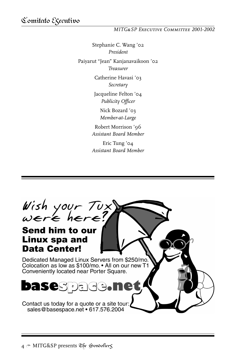#### *MITG&SP Executive Committee 2001-2002*

Stephanie C. Wang '02 *President* Paiyarut "Jean" Kanjanavaikoon '02 *Treasurer* Catherine Havasi '03 *Secretary* Jacqueline Felton '04 *Publicity Officer* Nick Bozard '03 *Member-at-Large* Robert Morrison '96 *Assistant Board Member* Eric Tung '04

*Assistant Board Member*

Wish your Tux<sup>1</sup><br>were here?

## **Send him to our Linux spa and Data Center!**

Dedicated Managed Linux Servers from \$250/mo. Colocation as low as \$100/mo. • All on our new T1 Conveniently located near Porter Square.

### **Dase**sida  $\mathbf{\mathbf{r}}$

Contact us today for a quote or a site tour: sales@basespace.net • 617.576.2004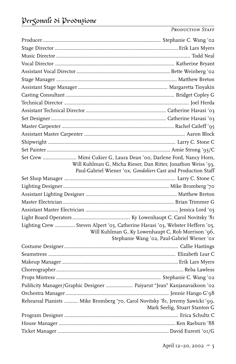*Production Staff*

| Set Crew  Mimi Cukier G, Laura Dean '00, Darlene Ford, Nancy Horn,             |                                                                                                   |
|--------------------------------------------------------------------------------|---------------------------------------------------------------------------------------------------|
|                                                                                | Will Kuhlman G, Micha Rieser, Dan Ritter, Jonathon Weiss '93,                                     |
|                                                                                | Paul-Gabriel Wiener 'ox, Gondoliers Cast and Production Staff                                     |
|                                                                                |                                                                                                   |
|                                                                                |                                                                                                   |
|                                                                                |                                                                                                   |
|                                                                                |                                                                                                   |
|                                                                                |                                                                                                   |
|                                                                                |                                                                                                   |
| Lighting Crew  Steven Alpert '05, Catherine Havasi '03, Webster Heffern '05,   | Will Kuhlman G, Ky Lowenhaupt C, Rob Morrison '96,<br>Stephanie Wang '02, Paul-Gabriel Wiener '0x |
|                                                                                |                                                                                                   |
|                                                                                |                                                                                                   |
|                                                                                |                                                                                                   |
|                                                                                |                                                                                                   |
|                                                                                |                                                                                                   |
| Publicity Manager/Graphic Designer  Paiyarut "Jean" Kanjanavaikoon '02         |                                                                                                   |
|                                                                                |                                                                                                   |
| Rehearsal Pianists  Mike Bromberg '70, Carol Novitsky '81, Jeremy Sawicki '99, |                                                                                                   |
|                                                                                | Mark Seelig, Stuart Stanton G                                                                     |
|                                                                                |                                                                                                   |
|                                                                                |                                                                                                   |
|                                                                                |                                                                                                   |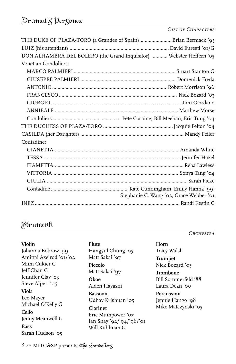## Dramatis Personae

#### *Cast of Characters*

|                      | THE DUKE OF PLAZA-TORO (a Grandee of Spain)  Brian Bermack '95      |
|----------------------|---------------------------------------------------------------------|
|                      |                                                                     |
|                      | DON ALHAMBRA DEL BOLERO (the Grand Inquisitor)  Webster Heffern '05 |
| Venetian Gondoliers: |                                                                     |
|                      |                                                                     |
|                      |                                                                     |
|                      |                                                                     |
|                      |                                                                     |
|                      |                                                                     |
|                      |                                                                     |
|                      |                                                                     |
|                      |                                                                     |
|                      |                                                                     |
| Contadine:           |                                                                     |
|                      |                                                                     |
|                      |                                                                     |
|                      |                                                                     |
|                      |                                                                     |
|                      |                                                                     |
|                      | Stephanie C. Wang '02, Grace Webber '01                             |
|                      |                                                                     |
|                      |                                                                     |

### Strumenti

**Violin**

Johanna Bobrow '99 Amittai Axelrod '01/'02 Mimi Cukier G Jeff Chan C Jennifer Clay '03 Steve Alpert '05

**Viola** Leo Mayer Michael O'Kelly G

#### **Cello**

Jenny Meanwell G

#### **Bass** Sarah Hudson '05

**Flute**

Hangyul Chung '05 Matt Sakai '97 **Piccolo** Matt Sakai '97 **Oboe** Alden Hayashi

**Bassoon** Udhay Krishnan '05

#### **Clarinet** Eric Mumpower '0*x* Ian Shay '92/'94/'98/'01 Will Kuhlman G

*Orchestra*

**Horn** Tracy Walsh

**Trumpet** Nick Bozard '03

**Trombone** Bill Sommerfeld '88 Laura Dean '00

**Percussion** Jennie Hango '98 Mike Matczynski '05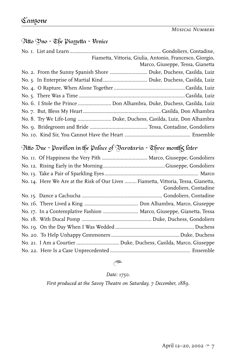## Atto Uno:~ The Piazzetta:~ Venice

|  | Fiametta, Vittoria, Giulia, Antonio, Francesco, Giorgio,              |
|--|-----------------------------------------------------------------------|
|  | Marco, Giuseppe, Tessa, Gianetta                                      |
|  | No. 2. From the Sunny Spanish Shore  Duke, Duchess, Casilda, Luiz     |
|  |                                                                       |
|  |                                                                       |
|  |                                                                       |
|  | No. 6. I Stole the Prince  Don Alhambra, Duke, Duchess, Casilda, Luiz |
|  |                                                                       |
|  | No. 8. Try We Life-Long  Duke, Duchess, Casilda, Luiz, Don Alhambra   |
|  |                                                                       |
|  |                                                                       |

## Atto Due ~ Pavilion in the Palace of Barataria ~ Chree month $\varsigma$  later

| Gondoliers, Contadine                                                                                                                                      |
|------------------------------------------------------------------------------------------------------------------------------------------------------------|
|                                                                                                                                                            |
|                                                                                                                                                            |
|                                                                                                                                                            |
|                                                                                                                                                            |
|                                                                                                                                                            |
|                                                                                                                                                            |
|                                                                                                                                                            |
|                                                                                                                                                            |
| No. 14. Here We Are at the Risk of Our Lives  Fiametta, Vittoria, Tessa, Gianetta,<br>No. 17. In a Contemplative Fashion  Marco, Giuseppe, Gianetta, Tessa |

# $\approx$

*Date: 1750.*

*First produced at the Savoy Theatre on Saturday, 7 December, 1889.*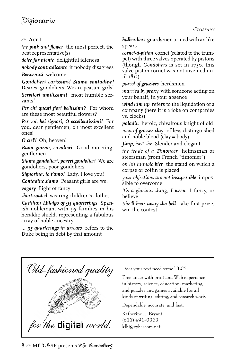#### - **Act I**

*the pink and flower* the most perfect, the best representative(s)

*dolce far niente* delightful idleness

*nobody contradicente* if nobody disagrees *Benvenuti* welcome

*Gondolieri carissimi! Siamo contadine!* Dearest gondoliers! We are peasant girls!

*Servitori umilissimi!* most humble servants!

*Per chi questi fiori bellissimi?* For whom are these most beautiful flowers?

*Per voi, bei signori, O eccellentissimi!* For you, dear gentlemen, oh most excellent ones!

*O ciel'!* Oh, heaven!

*Buon giorno, cavalieri* Good morning, gentlemen

*Siamo gondolieri, poveri gondolieri* We are gondoliers, poor gondoliers

*Signorina, io t'amo!* Lady, I love you!

*Contadine siamo* Peasant girls are we.

*vagary* flight of fancy

*short-coated* wearing children's clothes

*Castilian Hilalgo of 95 quarterings* Spanish nobleman, with 95 families in his heraldic shield, representing a fabulous array of noble ancestry

*... 95 quarterings in arrears* refers to the Duke being in debt by that amount

*halberdiers* guardsmen armed with ax-like spears

*cornet-à-piston* cornet (related to the trumpet) with three valves operated by pistons (though *Gondoliers* is set in 1750, this valve-piston cornet was not invented until 1813)

*parcel of graziers* herdsmen

*married by proxy* with someone acting on your behalf, in your absence

*wind him up* refers to the liquidation of a company (here it is a joke on companies vs. clocks)

*paladin* heroic, chivalrous knight of old

*men of grosser clay* of less distinguished and noble blood (clay = body)

*Jimp, isn't she* Slender and elegant

*the trade of a Timoneer* helmsman or steersman (from French "timonier")

*on his humble bier* the stand on which a corpse or coffin is placed

*your objections are not insuperable* impossible to overcome

*'tis a glorious thing, I ween* I fancy, or believe

*She'll bear away the bell* take first prize; win the contest



Does your text need some TLC?

Freelancer with print and Web experience in history, science, education, marketing, and puzzles and games available for all kinds of writing, editing, and research work.

Dependable, accurate, and fast.

Katherine L. Bryant (617) 491-0373 klb@cybercom.net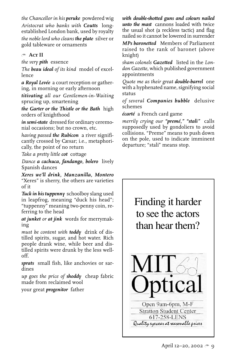*the Chancellor in his peruke* powdered wig *Aristocrat who banks with Coutts* longestablished London bank, used by royalty *the noble lord who cleans the plate* silver or gold tableware or ornaments

#### <sup>\*</sup> Act II

*the very pith* essence

*The beau ideal of its kind* model of excellence

*a Royal Levée* a court reception or gathering, in morning or early afternoon

*titivating all our Gentlemen-in-Waiting* sprucing up, smartening

*the Garter or the Thistle or the Bath* high orders of knighthood

*in semi-state* dressed for ordinary ceremonial occasions; but no crown, etc.

*having passed the Rubicon* a river significantly crossed by Cæsar; i.e., metaphorically, the point of no return

*Take a pretty little cot* cottage

*Dance a cachuca, fandango, bolero* lively Spanish dances

*Xeres we'll drink, Manzanilla, Montero* "Xeres" is sherry, the others are varieties of it

*Tuck in his tuppenny* schoolboy slang used in leapfrog, meaning "duck his head"; "tuppenny" meaning two-penny coin, referring to the head

*at junket or at jink* words for merrymaking

*must be content with toddy* drink of distilled spirits, sugar, and hot water. Rich people drank wine, while beer and distilled spirits were drunk by the less welloff.

*sprats* small fish, like anchovies or sardines

*up goes the price of shoddy* cheap fabric made from reclaimed wool

your great *progenitor* father

*with double-shotted guns and colours nailed unto the mast* cannons loaded with twice the usual shot (a reckless tactic) and flag nailed so it cannot be lowered in surrender

*MPs baronetted* Members of Parliament raised to the rank of baronet (above knight)

*sham colonels Gazetted* listed in the *London Gazette,* which published government appointments

*Quote me as their great double-barrel* one with a hyphenated name, signifying social status

*of several Companies bubble* delusive schemes

*écarté* a French card game

*merrily crying our "premé," "stalì"* calls supposedly used by gondoliers to avoid collisions. "Preme" means to push down on the pole, used to indicate imminent departure; "stali" means stop.

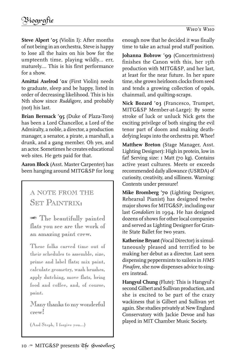**Steve Alpert '05** (Violin I): After months of not being in an orchestra, Steve is happy to lose all the hairs on his bow for the umpteenth time, playing wildly... err, maturely.... This is his first performance for a show.

**Amittai Axelrod '0***x* (First Violin) needs to graduate, sleep and be happy, listed in order of decreasing likelihood. This is his Nth show since *Ruddigore*, and probably (not) his last.

**Brian Bermack '95** (Duke of Plaza-Toro) has been a Lord Chancellor, a Lord of the Admiralty, a noble, a director, a production manager, a senator, a pirate, a marshall, a drunk, and a gang member. Oh yes, and an actor. Sometimes he creates educational web sites. He gets paid for that.

**Aaron Block** (Asst. Master Carpenter) has been hanging around MITG&SP for long

## A NOTE FROM THE SET PAINTRIX:

 The beautifully painted flats you see are the work of an amazing paint crew.

These folks carved time out of their schedules to assemble, size, prime and label flats; mix paint, calculate geometry, wash brushes, apply dutching, move flats, bring food and coffee, and, of course, paint.

Many thanks to my wonderful crew!

(And Steph, I forgive you...)

enough now that he decided it was finally time to take an actual prod staff position.

**Johanna Bobrow '99** (Concertmistress) finishes the Canon with this, her 15th production with MITG&SP, and her last, at least for the near future. In her spare time, she grows heirloom clocks from seed and tends a growing collection of opals, chainmail, and quilting-scraps.

**Nick Bozard '03** (Francesco, Trumpet, MITG&SP Member-at-Large): By some stroke of luck or unluck Nick gets the exciting privilege of both singing the evil tenor part of doom and making deathdefying leaps into the orchestra pit. Whee!

**Matthew Breton** (Stage Manager, Asst. Lighting Designer): High in protein, low in fat! Serving size: 1 Matt (70 kg). Contains active yeast cultures. Meets or exceeds recommended daily allowance (USRDA) of curiosity, creativity, and silliness. Warning: Contents under pressure!

**Mike Bromberg '70** (Lighting Designer, Rehearsal Pianist) has designed twelve major shows for MITG&SP, including our last *Gondoliers* in 1994. He has designed dozens of shows for other local companies and served as Lighting Designer for Granite State Ballet for two years.

**Katherine Bryant** (Vocal Director) is simultaneously pleased and terrified to be making her debut as a director. Last seen dispensing peppermints to sailors in *HMS Pinafore,* she now dispenses advice to singers instead.

**Hangyul Chung** (Flute): This is Hangyul's second Gilbert and Sullivan production, and she is excited to be part of the crazy wackiness that is Gilbert and Sullivan yet again. She studies privately at New England Conservatory with Jackie Devoe and has played in MIT Chamber Music Society.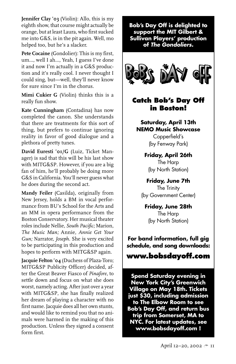**Jennifer Clay '03** (Violin): Allo, this is my eighth show, that course might actually be orange, but at least Laura, who first sucked me into G&S, is in the pit again. Well, mo helped too, but he's a slacker.

**Pete Cocaine** (Gondolier): This is my first, um..., well I ah..., Yeah, I guess I've done it and now I'm actually in a G&S production and it's really cool. I never thought I could sing, but—well, they'll never know for sure since I'm in the chorus.

**Mimi Cukier G** (Violin) thinks this is a really fun show.

**Kate Cunningham** (Contadina) has now completed the canon. She understands that there are treatments for this sort of thing, but prefers to continue ignoring reality in favor of good dialogue and a plethora of pretty tunes.

**David Euresti '01/G** (Luiz, Ticket Manager) is sad that this will be his last show with MITG&SP. However, if you are a big fan of him, he'll probably be doing more G&S in California. You'll never guess what he does during the second act.

**Mandy Feiler** (Casilda), originally from New Jersey, holds a BM in vocal performance from BU's School for the Arts and an MM in opera performance from the Boston Conservatory. Her musical theater roles include Nellie, *South Pacific;* Marion, *The Music Man;* Annie, *Annie Get Your Gun;* Narrator, *Joseph*. She is very excited to be participating in this production and hopes to perform with MITG&SP again.

**Jacquie Felton '04** (Duchess of Plaza-Toro; MITG&SP Publicity Officer) decided, after the Great Beaver Fiasco of *Pinafore,* to settle down and focus on what she does worst, namely acting. After just over a year with MITG&SP, she has finally realized her dream of playing a character with no first name. Jacquie does all her own stunts, and would like to remind you that no animals were harmed in the making of this production. Unless they signed a consent form first.

**Bob's Day Off is delighted to support the MIT Gilbert & Sullivan Players' production of The Gondoliers.**



## **Catch Bob's Day Off in Boston!**

**Saturday, April 13th NEMO Music Showcase** Copperfield's (by Fenway Park)

> **Friday, April 26th** The Harp (by North Station)

**Friday, June 7th** The Trinity (by Government Center)

**Friday, June 28th** The Harp (by North Station)

**For band information, full gig schedule, and song downloads:**

### **www.bobsdayoff.com**

**Spend Saturday evening in New York City's Greenwich Village on May 18th. Tickets just \$30, including admission to The Elbow Room to see Bob's Day Off, and return bus trip from Somerset, MA to NYC. For latest updates, see www.bobsdayoff.com !**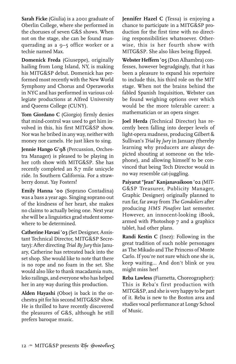**Sarah Ficke** (Giulia) is a 2001 graduate of Oberlin College, where she performed in the choruses of seven G&S shows. When not on the stage, she can be found masquerading as a 9–5 office worker or a techie named Max.

**Domenick Freda** (Giuseppe), originally hailing from Long Island, NY, is making his MITG&SP debut. Domenick has performed most recently with the New World Symphony and Chorus and Operaworks in NYC and has performed in various collegiate productions at Alfred University and Queens College (CUNY).

**Tom Giordano C** (Giorgio) firmly denies that mind-control was used to get him involved in this, his first MITG&SP show. Nor was he bribed in any way, neither with money nor camels. He just likes to sing.

**Jennie Hango G'98** (Percussion, Orchestra Manager) is pleased to be playing in her 10th show with MITG&SP. She has recently completed an 8.7 mile unicycle ride. In Southern California. For a strawberry donut. Yay Fosters!

**Emily Hanna '00** (Soprano Contadina) was a bass a year ago. Singing soprano out of the kindness of her heart, she makes no claims to actually being one. Next year she will be a linguistics grad student somewhere to be determined.

**Catherine Havasi '03** (Set Designer, Assistant Technical Director, MITG&SP Secretary): After directing *Trial By Jury* this January, Catherine has retreated back into the set shop. She would like to note that there is no rope and no foam in the set. She would also like to thank macadamia nuts, leko railings, and everyone who has helped her in any way during this production.

**Alden Hayashi** (Oboe) is back in the orchestra pit for his second MITG&SP show. He is thrilled to have recently discovered the pleasures of G&S, although he still prefers baroque music.

**Jennifer Hazel C** (Tessa) is enjoying a chance to participate in a MITG&SP production for the first time with no directing responsibilities whatsoever. Otherwise, this is her fourth show with MITG&SP. She also likes being flipped.

**Webster Heffern '05** (Don Alhambra) confesses, however begrudgingly, that it has been a pleasure to expand his repertoire to include this, his third role on the MIT stage. When not the brains behind the fabled Spanish Inquisition, Webster can be found weighing options over which would be the more tolerable career: a mathematician or an opera singer.

**Joel Herda** (Technical Director) has recently been falling into deeper levels of light-opera madness, producing Gilbert & Sullivan's *Trial by Jury* in January (thereby learning why producers are *always* depicted shouting at someone on the telephone), and allowing himself to be convinced that being Tech Director would in no way resemble cat-juggling.

**Paiyarut "Jean" Kanjanavaikoon '02** (MIT-G&SP Treasurer, Publicity Manager, Graphic Designer) originally planned to run far, far away from *The Gondoliers* after producing *HMS Pinafore* last semester. However, an innocent-looking iBook, armed with Photoshop 7 and a graphics tablet, had other plans.

**Randi Kestin C** (Inez): Following in the great tradition of such noble personages as The Mikado and The Princess of Monte Carlo. If you're not sure which one she is, keep waiting... And don't blink or you might miss her!

**Reba Lawless** (Fiametta, Choreographer): This is Reba's first production with MITG&SP, and she is very happy to be part of it. Reba is new to the Boston area and studies vocal performance at Longy School of Music.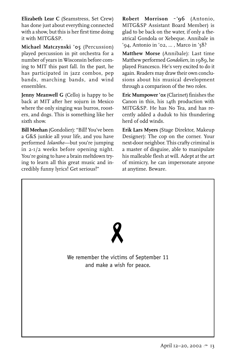**Elizabeth Lear C** (Seamstress, Set Crew) has done just about everything connected with a show, but this is her first time doing it with MITG&SP.

**Michael Matczynski '05** (Percussion) played percussion in pit orchestra for a number of years in Wisconsin before coming to MIT this past fall. In the past, he has participated in jazz combos, pep bands, marching bands, and wind ensembles.

**Jenny Meanwell G** (Cello) is happy to be back at MIT after her sojurn in Mexico where the only singing was burros, roosters, and dogs. This is something like her sixth show.

**Bill Meehan** (Gondolier): "Bill! You've been a G&S junkie all your life, and you have performed *Iolanthe*—but you're jumping in 2-1/2 weeks before opening night. You're going to have a brain meltdown trying to learn all this great music and incredibly funny lyrics! Get serious!"

**Robert Morrison ~ '96** (Antonio, MITG&SP Assistant Board Member) is glad to be back on the water, if only a theatrical Gondola or Xebeque. Annibale in '94, Antonio in '02, ... , Marco in '58?

**Matthew Morse** (Annibale): Last time Matthew performed *Gondoliers,* in 1989, he played Francesco. He's very excited to do it again. Readers may draw their own conclusions about his musical development through a comparison of the two roles.

**Eric Mumpower '0***x* (Clarinet) finishes the Canon in this, his 14th production with MITG&SP. He has No Tea, and has recently added a duduk to his thundering herd of odd winds.

**Erik Lars Myers** (Stage Direktor, Makeup Designer): The cop on the corner. Your next-door neighbor. This crafty criminal is a master of disguise, able to manipulate his malleable flesh at will. Adept at the art of mimicry, he can impersonate anyone at anytime. Beware.

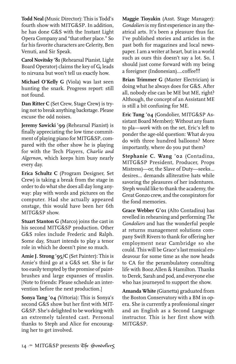**Todd Neal** (Music Director): This is Todd's fourth show with MITG&SP. In addition, he has done G&S with the Instant Light Opera Company and "that other place." So far his favorite characters are Celerity, Ben Venuti, and Sir Speak.

**Carol Novitsky '81** (Rehearsal Pianist, Light Board Operator) claims the key of  $G_b$  leads to nirvana but won't tell us exactly how.

**Michael O'Kelly G** (Viola) was last seen hunting the snark. Progress report: still not found.

**Dan Ritter C** (Set Crew, Stage Crew) is trying not to break anything backstage. Please excuse the odd noises.

**Jeremy Sawicki '99** (Rehearsal Pianist) is finally appreciating the low time commitment of playing piano for MITG&SP, compared with the other show he is playing for with the Tech Players, *Charlie and Algernon*, which keeps him busy nearly every day.

**Erica Schultz C** (Program Designer, Set Crew) is taking a break from the stage in order to do what she does all day long anyway: play with words and pictures on the computer. Had she actually appeared onstage, this would have been her 6th MITG&SP show.

**Stuart Stanton G** (Marco) joins the cast in his second MITG&SP production. Other G&S roles include Frederic and Ralph. Some day, Stuart intends to play a tenor role in which he doesn't pine so much.

**Amie J. Strong '95/C** (Set Painter): This is Amie's third go at a G&S set. She is far too easily tempted by the promise of paintbrushes and large expanses of muslin. [Note to friends: Please schedule an intervention before the next production.]

**Sonya Tang '04** (Vittoria): This is Sonya's second G&S show but her first with MIT-G&SP. She's delighted to be working with an extremely talented cast. Personal thanks to Steph and Alice for encouraging her to get involved.

**Maggie Tioyakin** (Asst. Stage Manager): *Gondoliers* is my first experience in any theatrical arts. It's been a pleasure thus far. I've published stories and articles in the past both for magazines and local newspaper. I am a writer at heart, but in a world such as ours this doesn't say a lot. So, I should just come forward with my being a foreigner (Indonesian)....coffee!!!

**Brian Trimmer G** (Master Electrician) is doing what he always does for G&S. After all, nobody else can be ME but ME, right? Although, the concept of an Assistant ME is still a bit confusing for ME.

**Eric Tung '04** (Gondolier, MITG&SP Assistant Board Member): Without any foam to pla—*work* with on the set, Eric's left to ponder the age-old question: What *do* you do with three hundred balloons? More importantly, where do you put them?

**Stephanie C. Wang '02** (Contadina, MITG&SP President, Producer, Props Mistress)—or, the Slave of Duty—seeks... desires... demands alliterative hats while savoring the pleasures of her indentures. Steph would like to thank the academy, the Great Gonzo crew, and the conspirators for the fond memories.

**Grace Webber G'01** (Alto Contadina) has revelled in rehearsing and performing *The Gondoliers* and has the wonderful people at returns management solutions company Swift Rivers to thank for offering her employment near Cambridge so she could. This will be Grace's last musical endeavour for some time as she now heads to CA for the perambulatory consulting life with Booz.Allen & Hamilton. Thanks to Derek, Sarah and pod, and everyone else who has journeyed to support the show.

**Amanda White** (Gianetta) graduated from the Boston Conservatory with a BM in opera. She is currently a professional singer and an English as a Second Language instructor. This is her first show with MITG&SP.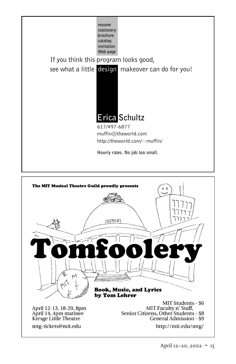